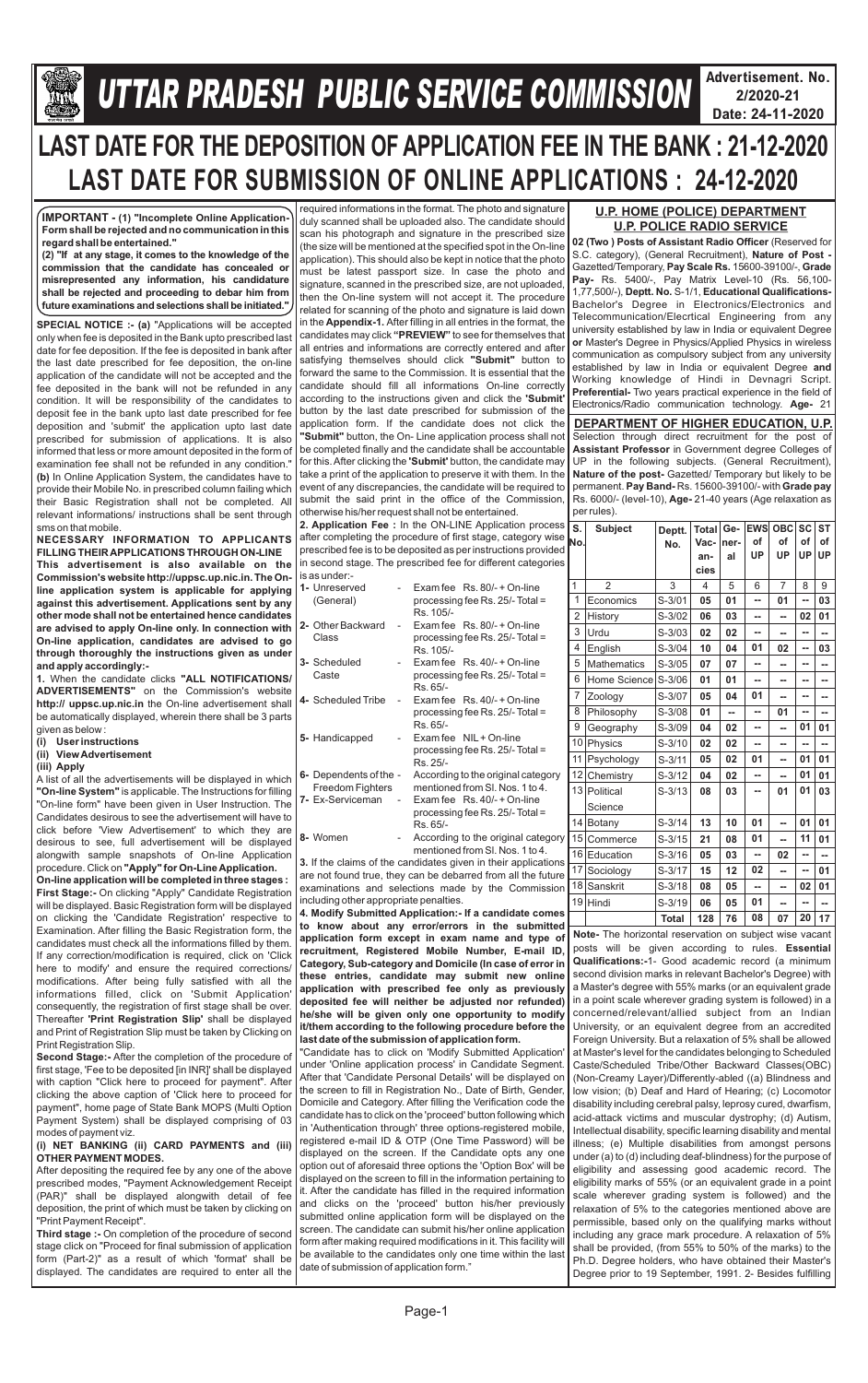

## **Gllej ØeosMe YetlelJe SJeb Keefvekeâce&** *U***efveosMeeueÙe DeOeervemLe ØeeefJeefOekeâ mesJee** *TTAR PRADESH PUBLIC SERVICE COMMISSION*

**Advertisement. No. 2/2020-21 Date: 24-11-2020**



# **LAST DATE FOR THE DEPOSITION OF APPLICATION FEE IN THE BANK : 21-12-2020 LAST DATE FOR SUBMISSION OF ONLINE APPLICATIONS : 24-12-2020**

**SPECIAL NOTICE :- (a)** "Applications will be accepted only when fee is deposited in the Bank upto prescribed last date for fee deposition. If the fee is deposited in bank after the last date prescribed for fee deposition, the on-line application of the candidate will not be accepted and the fee deposited in the bank will not be refunded in any condition. It will be responsibility of the candidates to deposit fee in the bank upto last date prescribed for fee deposition and 'submit' the application upto last date prescribed for submission of applications. It is also informed that less or more amount deposited in the form of examination fee shall not be refunded in any condition." **(b)** In Online Application System, the candidates have to provide their Mobile No. in prescribed column failing which their Basic Registration shall not be completed. All relevant informations/ instructions shall be sent through sms on that mobile.

**NECESSARY INFORMATION TO APPLICANTS FILLING THEIR APPLICATIONS THROUGH ON-LINE This advertisement is also available on the Commission's website http://uppsc.up.nic.in. The Online application system is applicable for applying against this advertisement. Applications sent by any other mode shall not be entertained hence candidates are advised to apply On-line only. In connection with On-line application, candidates are advised to go through thoroughly the instructions given as under and apply accordingly:-**

**1.** When the candidate clicks **"ALL NOTIFICATIONS/ ADVERTISEMENTS"** on the Commission's website **http:// uppsc.up.nic.in** the On-line advertisement shall be automatically displayed, wherein there shall be 3 parts given as below :

- **(i) User instructions**
- **(ii) View Advertisement**
- **(iii) Apply**

A list of all the advertisements will be displayed in which **"On-line System"** is applicable. The Instructions for filling "On-line form" have been given in User Instruction. The Candidates desirous to see the advertisement will have to click before 'View Advertisement' to which they are desirous to see, full advertisement will be displayed alongwith sample snapshots of On-line Application procedure. Click on **"Apply" for On-Line Application. On-line application will be completed in three stages : First Stage:-** On clicking "Apply" Candidate Registration will be displayed. Basic Registration form will be displayed on clicking the 'Candidate Registration' respective to Examination. After filling the Basic Registration form, the candidates must check all the informations filled by them. If any correction/modification is required, click on 'Click here to modify' and ensure the required corrections/ modifications. After being fully satisfied with all the informations filled, click on 'Submit Application' consequently, the registration of first stage shall be over.

Thereafter **'Print Registration Slip'** shall be displayed and Print of Registration Slip must be taken by Clicking on Print Registration Slip.

**Second Stage:-** After the completion of the procedure of first stage, 'Fee to be deposited [in INR]' shall be displayed with caption "Click here to proceed for payment". After clicking the above caption of 'Click here to proceed for payment", home page of State Bank MOPS (Multi Option Payment System) shall be displayed comprising of 03 modes of payment viz.

#### **(i) NET BANKING (ii) CARD PAYMENTS and (iii) OTHER PAYMENT MODES.**

After depositing the required fee by any one of the above prescribed modes, "Payment Acknowledgement Receipt (PAR)" shall be displayed alongwith detail of fee deposition, the print of which must be taken by clicking on "Print Payment Receipt".

**Third stage :-** On completion of the procedure of second stage click on "Proceed for final submission of application form (Part-2)" as a result of which 'format' shall be displayed. The candidates are required to enter all the **02 (Two) Posts of Assistant Radio Officer** (Reserved for S.C. category), (General Recruitment), **Nature of Post -**  Gazetted/Temporary, **Pay Scale Rs.** 15600-39100/-, **Grade Pay-** Rs. 5400/-, Pay Matrix Level-10 (Rs. 56,100- 1,77,500/-), **Deptt. No.** S-1/1, **Educational Qualifications-**Bachelor's Degree in Electronics/Electronics and Telecommunication/Elecrtical Engineering from any university established by law in India or equivalent Degree **or** Master's Degree in Physics/Applied Physics in wireless communication as compulsory subject from any university established by law in India or equivalent Degree **and**  Working knowledge of Hindi in Devnagri Script. **Preferential-** Two years practical experience in the field of Electronics/Radio communication technology. **Age-** 21

required informations in the format. The photo and signature duly scanned shall be uploaded also. The candidate should scan his photograph and signature in the prescribed size (the size will be mentioned at the specified spot in the On-line application). This should also be kept in notice that the photo must be latest passport size. In case the photo and signature, scanned in the prescribed size, are not uploaded, then the On-line system will not accept it. The procedure related for scanning of the photo and signature is laid down in the **Appendix-1.** After filling in all entries in the format, the candidates may click **"PREVIEW"** to see for themselves that all entries and informations are correctly entered and after satisfying themselves should click **"Submit"** button to forward the same to the Commission. It is essential that the candidate should fill all informations On-line correctly according to the instructions given and click the **'Submit'**  button by the last date prescribed for submission of the application form. If the candidate does not click the **"Submit"** button, the On- Line application process shall not be completed finally and the candidate shall be accountable for this. After clicking the **'Submit'** button, the candidate may take a print of the application to preserve it with them. In the event of any discrepancies, the candidate will be required to submit the said print in the office of the Commission, otherwise his/her request shall not be entertained.

**2. Application Fee :** In the ON-LINE Application process after completing the procedure of first stage, category wise prescribed fee is to be deposited as per instructions provided in second stage. The prescribed fee for different categories is as under:-

| 1- Unreserved<br>(General)                 |                | Exam fee Rs. 80/- + On-line<br>processing fee Rs. 25/- Total =<br>Rs. 105/-                                                                                                          |
|--------------------------------------------|----------------|--------------------------------------------------------------------------------------------------------------------------------------------------------------------------------------|
| 2- Other Backward<br>Class                 | $\overline{a}$ | Exam fee $\,$ Rs. 80/- + On-line<br>processing fee Rs. 25/- Total =<br>Rs. 105/-                                                                                                     |
| 3- Scheduled<br>Caste                      |                | Exam fee $\,$ Rs. 40/- + On-line<br>processing fee Rs. 25/- Total =<br>Rs. 65/-                                                                                                      |
| 4- Scheduled Tribe                         | $\overline{a}$ | Exam fee Rs. 40/- + On-line<br>processing fee Rs. 25/- Total =<br>Rs. 65/-                                                                                                           |
| 5- Handicapped                             |                | Exam fee NIL + On-line<br>processing fee Rs. 25/- Total =<br>Rs. 25/-                                                                                                                |
| 6- Dependents of the -<br>Freedom Fighters |                | According to the original category<br>mentioned from SI, Nos. 1 to 4.                                                                                                                |
| 7- Ex-Serviceman                           | $\sim$         | Exam fee Rs. 40/- + On-line<br>processing fee Rs. 25/- Total =<br>Rs. 65/-                                                                                                           |
| 8- Women                                   |                | According to the original category<br>mentioned from SI, Nos. 1 to 4.                                                                                                                |
| including other appropriate penalties.     |                | 3. If the claims of the candidates given in their applications<br>are not found true, they can be debarred from all the future<br>examinations and selections made by the Commission |

**4. Modify Submitted Application:- If a candidate comes to know about any error/errors in the submitted application form except in exam name and type of recruitment, Registered Mobile Number, E-mail ID, Category, Sub-category and Domicile (In case of error in these entries, candidate may submit new online application with prescribed fee only as previously deposited fee will neither be adjusted nor refunded) he/she will be given only one opportunity to modify** 

**it/them according to the following procedure before the last date of the submission of application form.**

"Candidate has to click on 'Modify Submitted Application' under 'Online application process' in Candidate Segment. After that 'Candidate Personal Details' will be displayed on the screen to fill in Registration No., Date of Birth, Gender, Domicile and Category. After filling the Verification code the candidate has to click on the 'proceed' button following which in 'Authentication through' three options-registered mobile, registered e-mail ID & OTP (One Time Password) will be displayed on the screen. If the Candidate opts any one option out of aforesaid three options the 'Option Box' will be displayed on the screen to fill in the information pertaining to it. After the candidate has filled in the required information and clicks on the 'proceed' button his/her previously submitted online application form will be displayed on the screen. The candidate can submit his/her online application form after making required modifications in it. This facility will be available to the candidates only one time within the last date of submission of application form."

**IMPORTANT - (1) "Incomplete Online Application-Form shall be rejected and no communication in this regard shall be entertained."**

**(2) "If at any stage, it comes to the knowledge of the commission that the candidate has concealed or misrepresented any information, his candidature shall be rejected and proceeding to debar him from future examinations and selections shall be initiated."**

### **U.P. HOME (POLICE) DEPARTMENT U.P. POLICE RADIO SERVICE**

Selection through direct recruitment for the post of **Assistant Professor** in Government degree Colleges of UP in the following subjects. (General Recruitment), **Nature of the post-** Gazetted/ Temporary but likely to be permanent. **Pay Band-** Rs. 15600-39100/- with **Grade pay** Rs. 6000/- (level-10), **Age-** 21-40 years (Age relaxation as per rules). **DEPARTMENT OF HIGHER EDUCATION, U.P.**

| <b>Subject</b>     | Deptt.       | <b>Total</b> | Ge-  | <b>EWS</b> |          | <b>SC</b>       | <b>ST</b>              |
|--------------------|--------------|--------------|------|------------|----------|-----------------|------------------------|
|                    | No.          |              |      |            |          |                 | οf                     |
|                    |              | an-          | al   |            |          |                 | UP                     |
|                    |              | cies         |      |            |          |                 |                        |
| $\overline{2}$     | 3            | 4            | 5    | 6          | 7        | 8               | 9                      |
| Economics          | $S-3/01$     | 05           | 01   |            | 01       |                 | 03                     |
| History            | $S-3/02$     | 06           | 03   |            |          | 02              | 01                     |
| Urdu               | $S-3/03$     | 02           | 02   |            |          |                 |                        |
| English            | $S-3/04$     | 10           | 04   | 01         | 02       | ۰.              | 03                     |
| <b>Mathematics</b> | $S-3/05$     | 07           | 07   | --         | --       | ۰.              | --                     |
| Home Science       | $S-3/06$     | 01           | 01   | --         | --       | --              | --                     |
| Zoology            | $S-3/07$     | 05           | 04   | 01         | --       | --              | --                     |
| Philosophy         | $S-3/08$     | 01           | --   | --         | 01       | --              | --                     |
| Geography          | S-3/09       | 04           | 02   | --         | --       | 01              | 01                     |
| Physics            | $S-3/10$     | 02           | 02   | --         | --       |                 | --                     |
| Psychology         | $S-3/11$     | 05           | 02   | 01         | --       | 01              | 01                     |
| Chemistry          | $S-3/12$     | 04           | 02   |            | --       | 01              | 01                     |
| Political          | $S - 3/13$   | 08           | 03   |            | 01       | 01              | 03                     |
| Science            |              |              |      |            |          |                 |                        |
| Botany             | $S-3/14$     | 13           | 10   | 01         | --       | 01              | 01                     |
| Commerce           | $S-3/15$     | 21           | 08   | 01         |          | 11              | 01                     |
| Education          | $S-3/16$     | 05           | 03   | ш.         | 02       | ۰.              | --                     |
| Sociology          | $S-3/17$     | 15           | 12   | 02         |          | --              | 01                     |
| Sanskrit           | $S-3/18$     | 08           | 05   | --         |          | 02              | 01                     |
| Hindi              | $S-3/19$     | 06           | 05   | 01         | --       | ۰.              | --                     |
|                    | <b>Total</b> | 128          | 76   | 08         | 07       | 20              | 17                     |
|                    |              |              | Vac- | ner-       | of<br>UP | of<br><b>UP</b> | <b>OBC</b><br>of<br>UP |

**Note-** The horizontal reservation on subject wise vacant posts will be given according to rules. **Essential Qualifications:-**1- Good academic record (a minimum second division marks in relevant Bachelor's Degree) with a Master's degree with 55% marks (or an equivalent grade in a point scale wherever grading system is followed) in a concerned/relevant/allied subject from an Indian University, or an equivalent degree from an accredited Foreign University. But a relaxation of 5% shall be allowed at Master's level for the candidates belonging to Scheduled Caste/Scheduled Tribe/Other Backward Classes(OBC) (Non-Creamy Layer)/Differently-abled ((a) Blindness and low vision; (b) Deaf and Hard of Hearing; (c) Locomotor disability including cerebral palsy, leprosy cured, dwarfism, acid-attack victims and muscular dystrophy; (d) Autism, Intellectual disability, specific learning disability and mental illness; (e) Multiple disabilities from amongst persons under (a) to (d) including deaf-blindness) for the purpose of eligibility and assessing good academic record. The eligibility marks of 55% (or an equivalent grade in a point scale wherever grading system is followed) and the relaxation of 5% to the categories mentioned above are permissible, based only on the qualifying marks without including any grace mark procedure. A relaxation of 5% shall be provided, (from 55% to 50% of the marks) to the Ph.D. Degree holders, who have obtained their Master's Degree prior to 19 September, 1991. 2- Besides fulfilling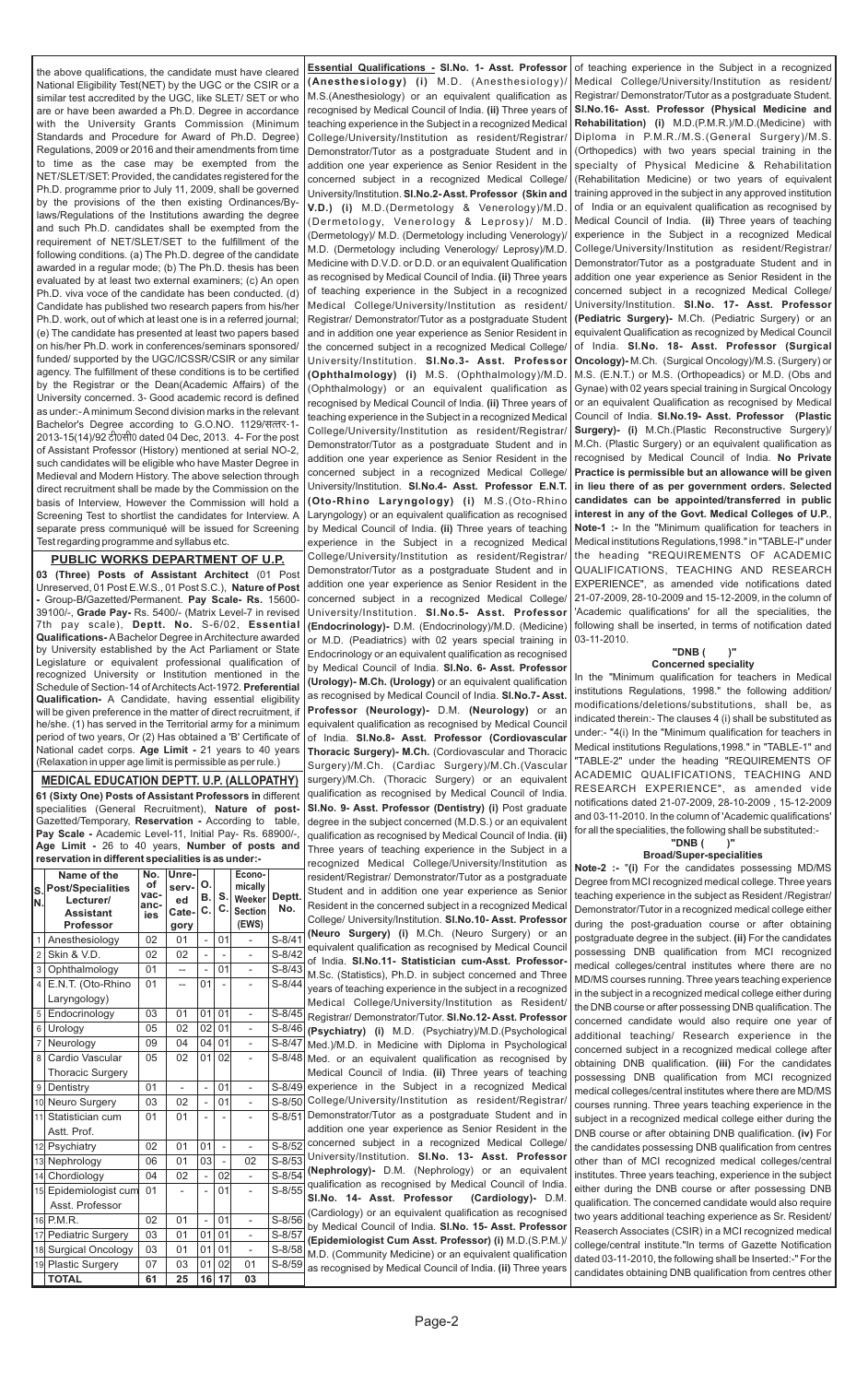**MEDICAL EDUCATION DEPTT. U.P. (ALLOPATHY) 61 (Sixty One) Posts of Assistant Professors in** different specialities (General Recruitment), **Nature of post-**Gazetted/Temporary, **Reservation -** According to table, **Pay Scale -** Academic Level-11, Initial Pay- Rs. 68900/-, **Age Limit -** 26 to 40 years, **Number of posts and reservation in different specialities is as under:-**

**03 (Three) Posts of Assistant Architect** (01 Post Unreserved, 01 Post E.W.S., 01 Post S.C.), **Nature of Post -** Group-B**/**Gazetted/Permanent. **Pay Scale- Rs.** 15600- 39100/-, **Grade Pay-** Rs. 5400/- (Matrix Level-7 in revised 7th pay scale), **Deptt. No.** S-6/02, **Essential Qualifications-** ABachelor Degree in Architecture awarded by University established by the Act Parliament or State Legislature or equivalent professional qualification of recognized University or Institution mentioned in the Schedule of Section-14 of Architects Act-1972. **Preferential Qualification-** A Candidate, having essential eligibility will be given preference in the matter of direct recruitment, if he/she. (1) has served in the Territorial army for a minimum period of two years, Or (2) Has obtained a 'B' Certificate of National cadet corps. **Age Limit -** 21 years to 40 years (Relaxation in upper age limit is permissible as per rule.)

**Essential Qualifications - Sl.No. 1- Asst. Professor (Anesthesiology) (i)** M.D. (Anesthesiology)/ M.S.(Anesthesiology) or an equivalent qualification as recognised by Medical Council of India. **(ii)** Three years of teaching experience in the Subject in a recognized Medical College/University/Institution as resident/Registrar/ Demonstrator/Tutor as a postgraduate Student and in addition one year experience as Senior Resident in the concerned subject in a recognized Medical College/ University/Institution. **Sl.No.2- Asst. Professor (Skin and V.D.) (i)** M.D.(Dermetology & Venerology)/M.D. (Dermetology, Venerology & Leprosy)/ M.D. (Dermetology)/ M.D. (Dermetology including Venerology)/ M.D. (Dermetology including Venerology/ Leprosy)/M.D. Medicine with D.V.D. or D.D. or an equivalent Qualification as recognised by Medical Council of India. **(ii)** Three years of teaching experience in the Subject in a recognized Medical College/University/Institution as resident/ Registrar/ Demonstrator/Tutor as a postgraduate Student and in addition one year experience as Senior Resident in the concerned subject in a recognized Medical College/ University/Institution. **Sl.No.3- Asst. Professor (Ophthalmology) (i)** M.S. (Ophthalmology)/M.D. (Ophthalmology) or an equivalent qualification as recognised by Medical Council of India. **(ii)** Three years of teaching experience in the Subject in a recognized Medical College/University/Institution as resident/Registrar/ Demonstrator/Tutor as a postgraduate Student and in addition one year experience as Senior Resident in the concerned subject in a recognized Medical College/ University/Institution. **Sl.No.4- Asst. Professor E.N.T. (Oto-Rhino Laryngology) (i)** M.S.(Oto-Rhino Laryngology) or an equivalent qualification as recognised by Medical Council of India. **(ii)** Three years of teaching experience in the Subject in a recognized Medical College/University/Institution as resident/Registrar/ Demonstrator/Tutor as a postgraduate Student and in addition one year experience as Senior Resident in the concerned subject in a recognized Medical College/ University/Institution. **Sl.No.5- Asst. Professor (Endocrinology)-** D.M. (Endocrinology)/M.D. (Medicine) or M.D. (Peadiatrics) with 02 years special training in Endocrinology or an equivalent qualification as recognised by Medical Council of India. **Sl.No. 6- Asst. Professor (Urology)- M.Ch. (Urology)** or an equivalent qualification as recognised by Medical Council of India. **Sl.No.7- Asst. Professor (Neurology)-** D.M. **(Neurology)** or an equivalent qualification as recognised by Medical Council of India. **Sl.No.8- Asst. Professor (Cordiovascular Thoracic Surgery)- M.Ch.** (Cordiovascular and Thoracic Surgery)/M.Ch. (Cardiac Surgery)/M.Ch.(Vascular surgery)/M.Ch. (Thoracic Surgery) or an equivalent qualification as recognised by Medical Council of India. **Sl.No. 9- Asst. Professor (Dentistry) (i)** Post graduate degree in the subject concerned (M.D.S.) or an equivalent qualification as recognised by Medical Council of India. **(ii)**  Three years of teaching experience in the Subject in a recognized Medical College/University/Institution as Note 2.

the above qualifications, the candidate must have cleared National Eligibility Test(NET) by the UGC or the CSIR or a similar test accredited by the UGC, like SLET/ SET or who are or have been awarded a Ph.D. Degree in accordance with the University Grants Commission (Minimum Standards and Procedure for Award of Ph.D. Degree) Regulations, 2009 or 2016 and their amendments from time to time as the case may be exempted from the NET/SLET/SET: Provided, the candidates registered for the Ph.D. programme prior to July 11, 2009, shall be governed by the provisions of the then existing Ordinances/Bylaws/Regulations of the Institutions awarding the degree and such Ph.D. candidates shall be exempted from the requirement of NET/SLET/SET to the fulfillment of the following conditions. (a) The Ph.D. degree of the candidate awarded in a regular mode; (b) The Ph.D. thesis has been evaluated by at least two external examiners; (c) An open Ph.D. viva voce of the candidate has been conducted. (d) Candidate has published two research papers from his/her Ph.D. work, out of which at least one is in a referred journal; (e) The candidate has presented at least two papers based on his/her Ph.D. work in conferences/seminars sponsored/ funded/ supported by the UGC/ICSSR/CSIR or any similar agency. The fulfillment of these conditions is to be certified by the Registrar or the Dean(Academic Affairs) of the University concerned. 3- Good academic record is defined as under:- Aminimum Second division marks in the relevant Bachelor's Degree according to G.O.NO. 1129/सत्तर-1-2013-15(14)/92 टी0सी0 dated 04 Dec, 2013. 4- For the post of Assistant Professor (History) mentioned at serial NO-2, such candidates will be eligible who have Master Degree in Medieval and Modern History. The above selection through direct recruitment shall be made by the Commission on the basis of Interview, However the Commission will hold a Screening Test to shortlist the candidates for Interview. A separate press communiqué will be issued for Screening Test regarding programme and syllabus etc.

#### **PUBLIC WORKS DEPARTMENT OF U.P.**

|                | Name of the<br>S Post/Specialities<br>Lecturer/<br><b>Assistant</b><br><b>Professor</b> | No.<br>оf<br>vac-<br>anc-<br>ies | Unre-<br>serv-<br>ed<br>Cate-<br>gory | O.<br>B.<br>C.           | ۱S.<br>$\mathbf C$       | Econo-<br>mically<br>Weeker<br><b>Section</b><br>(EWS) | Deptt.<br>No. | resident/Registrar/ Demonstrator/Tutor as a postgraduate<br>Student and in addition one year experience as Senior<br>Resident in the concerned subject in a recognized Medical<br>College/ University/Institution. SI.No.10- Asst. Professor | <b>NOTE-4</b> (I) For the caribidates possessing milimore<br>Degree from MCI recognized medical college. Three years<br>teaching experience in the subject as Resident /Registrar/<br>Demonstrator/Tutor in a recognized medical college either<br>during the post-graduation course or after obtaining |
|----------------|-----------------------------------------------------------------------------------------|----------------------------------|---------------------------------------|--------------------------|--------------------------|--------------------------------------------------------|---------------|----------------------------------------------------------------------------------------------------------------------------------------------------------------------------------------------------------------------------------------------|---------------------------------------------------------------------------------------------------------------------------------------------------------------------------------------------------------------------------------------------------------------------------------------------------------|
|                | Anesthesiology                                                                          | 02                               | 01                                    | - 1                      | l 01                     |                                                        | $S-8/41$      | (Neuro Surgery) (i) M.Ch. (Neuro Surgery) or ar<br>equivalent qualification as recognised by Medical Counci                                                                                                                                  | postgraduate degree in the subject. (ii) For the candidates                                                                                                                                                                                                                                             |
| 2 <sup>1</sup> | Skin & V.D.                                                                             | 02                               | 02                                    | $\overline{\phantom{0}}$ | $\overline{\phantom{a}}$ |                                                        | $S-8/42$      | of India. SI.No.11- Statistician cum-Asst. Professor                                                                                                                                                                                         | possessing DNB qualification from MCI recognized                                                                                                                                                                                                                                                        |
| 3              | Ophthalmology                                                                           | 01                               | $-$                                   | $\overline{\phantom{a}}$ | 01                       |                                                        | $S - 8/43$    | M.Sc. (Statistics), Ph.D. in subject concerned and Three                                                                                                                                                                                     | medical colleges/central institutes where there are no                                                                                                                                                                                                                                                  |
|                | 4 E.N.T. (Oto-Rhino                                                                     | 01                               | $-$                                   | 01                       |                          |                                                        | $S-8/44$      | years of teaching experience in the subject in a recognized                                                                                                                                                                                  | MD/MS courses running. Three years teaching experience                                                                                                                                                                                                                                                  |
|                | Laryngology)                                                                            |                                  |                                       |                          |                          |                                                        |               | Medical College/University/Institution as Resident                                                                                                                                                                                           | in the subject in a recognized medical college either during                                                                                                                                                                                                                                            |
|                | 5 Endocrinology                                                                         | 03                               | 01                                    | 01 01                    |                          | $\blacksquare$                                         |               | S-8/45 Registrar/ Demonstrator/Tutor. SI.No.12-Asst. Professor                                                                                                                                                                               | the DNB course or after possessing DNB qualification. The<br>concerned candidate would also require one year of                                                                                                                                                                                         |
|                | 6 Urology                                                                               | 05                               | 02                                    |                          | 02 01                    | $\mathbf{L}$                                           |               | S-8/46 (Psychiatry) (i) M.D. (Psychiatry)/M.D. (Psychological                                                                                                                                                                                | additional teaching/ Research experience in the                                                                                                                                                                                                                                                         |
| $\overline{7}$ | Neurology                                                                               | 09                               | 04                                    |                          | 04 01                    | $\sim$                                                 |               | S-8/47   Med.)/M.D. in Medicine with Diploma in Psychological                                                                                                                                                                                | concerned subject in a recognized medical college after                                                                                                                                                                                                                                                 |
|                | 8 Cardio Vascular                                                                       | 05                               | 02                                    |                          | 01 02                    |                                                        |               | S-8/48 Med. or an equivalent qualification as recognised by                                                                                                                                                                                  | obtaining DNB qualification. (iii) For the candidates                                                                                                                                                                                                                                                   |
|                | <b>Thoracic Surgery</b>                                                                 |                                  |                                       |                          |                          |                                                        |               | Medical Council of India. (ii) Three years of teaching                                                                                                                                                                                       | possessing DNB qualification from MCI recognized                                                                                                                                                                                                                                                        |
|                | 9 Dentistry                                                                             | 01                               |                                       |                          | 01                       |                                                        |               | S-8/49 experience in the Subject in a recognized Medica                                                                                                                                                                                      | medical colleges/central institutes where there are MD/MS                                                                                                                                                                                                                                               |
|                | 10 Neuro Surgery                                                                        | 03                               | 02                                    | - 1                      | 01                       |                                                        |               | S-8/50 College/University/Institution as resident/Registrar.                                                                                                                                                                                 | courses running. Three years teaching experience in the                                                                                                                                                                                                                                                 |
|                | 11 Statistician cum                                                                     | 01                               | 01                                    |                          |                          |                                                        |               | S-8/51 Demonstrator/Tutor as a postgraduate Student and in                                                                                                                                                                                   | subject in a recognized medical college either during the                                                                                                                                                                                                                                               |
|                | Astt. Prof.                                                                             |                                  |                                       |                          |                          |                                                        |               | addition one year experience as Senior Resident in the                                                                                                                                                                                       | DNB course or after obtaining DNB qualification. (iv) For                                                                                                                                                                                                                                               |
|                | 12 Psychiatry                                                                           | 02                               | 01                                    | 01                       | $\overline{\phantom{a}}$ |                                                        | $S-8/52$      | concerned subject in a recognized Medical College/                                                                                                                                                                                           | the candidates possessing DNB qualification from centres                                                                                                                                                                                                                                                |
|                | 13 Nephrology                                                                           | 06                               | 01                                    | 03                       |                          | 02                                                     | $S-8/53$      | University/Institution. SI.No. 13- Asst. Professor<br>(Nephrology)- D.M. (Nephrology) or an equivalent                                                                                                                                       | other than of MCI recognized medical colleges/central                                                                                                                                                                                                                                                   |
|                | 14 Chordiology                                                                          | 04                               | 02                                    | - 1                      | 02                       |                                                        | $S-8/54$      | qualification as recognised by Medical Council of India                                                                                                                                                                                      | institutes. Three years teaching, experience in the subject                                                                                                                                                                                                                                             |
|                | 15 Epidemiologist cum                                                                   | 01                               |                                       |                          | 01                       |                                                        | $S-8/55$      | SI.No. 14- Asst. Professor<br>(Cardiology)- D.M                                                                                                                                                                                              | either during the DNB course or after possessing DNB                                                                                                                                                                                                                                                    |
|                | Asst. Professor                                                                         |                                  |                                       |                          |                          |                                                        |               | (Cardiology) or an equivalent qualification as recognised                                                                                                                                                                                    | qualification. The concerned candidate would also require                                                                                                                                                                                                                                               |
|                | 16 P.M.R.                                                                               | 02                               | 01                                    |                          | $-101$                   |                                                        | $S - 8/56$    | by Medical Council of India. SI.No. 15- Asst. Professor                                                                                                                                                                                      | two years additional teaching experience as Sr. Resident/                                                                                                                                                                                                                                               |
|                | 17 Pediatric Surgery                                                                    | 03                               | 01                                    |                          | 01 01                    |                                                        | $S-8/57$      | (Epidemiologist Cum Asst. Professor) (i) M.D.(S.P.M.)                                                                                                                                                                                        | Reaserch Associates (CSIR) in a MCI recognized medical                                                                                                                                                                                                                                                  |
|                | 18 Surgical Oncology                                                                    | 03                               | 01                                    | 01 01                    |                          |                                                        | $S-8/58$      | M.D. (Community Medicine) or an equivalent qualificatior                                                                                                                                                                                     | college/central institute."In terms of Gazette Notification                                                                                                                                                                                                                                             |
|                | 19 Plastic Surgery                                                                      | 07                               | 03                                    |                          | 01 02                    | 01                                                     | $S-8/59$      | as recognised by Medical Council of India. (ii) Three years                                                                                                                                                                                  | dated 03-11-2010, the following shall be Inserted:-" For the<br>candidates obtaining DNB qualification from centres other                                                                                                                                                                               |
|                | <b>TOTAL</b>                                                                            | 61                               | 25                                    |                          | 16 17                    | 03                                                     |               |                                                                                                                                                                                                                                              |                                                                                                                                                                                                                                                                                                         |

of teaching experience in the Subject in a recognized Medical College/University/Institution as resident/ Registrar/ Demonstrator/Tutor as a postgraduate Student. **Sl.No.16- Asst. Professor (Physical Medicine and Rehabilitation) (i)** M.D.(P.M.R.)/M.D.(Medicine) with Diploma in P.M.R./M.S.(General Surgery)/M.S. (Orthopedics) with two years special training in the specialty of Physical Medicine & Rehabilitation (Rehabilitation Medicine) or two years of equivalent training approved in the subject in any approved institution of India or an equivalent qualification as recognised by Medical Council of India. **(ii)** Three years of teaching experience in the Subject in a recognized Medical College/University/Institution as resident/Registrar/ Demonstrator/Tutor as a postgraduate Student and in addition one year experience as Senior Resident in the concerned subject in a recognized Medical College/ University/Institution. **Sl.No. 17- Asst. Professor (Pediatric Surgery)-** M.Ch. (Pediatric Surgery) or an equivalent Qualification as recognized by Medical Council of India. **Sl.No. 18- Asst. Professor (Surgical Oncology)-** M.Ch. (Surgical Oncology)/M.S. (Surgery) or M.S. (E.N.T.) or M.S. (Orthopeadics) or M.D. (Obs and Gynae) with 02 years special training in Surgical Oncology or an equivalent Qualification as recognised by Medical Council of India. **Sl.No.19- Asst. Professor (Plastic Surgery)- (i)** M.Ch.(Plastic Reconstructive Surgery)/ M.Ch. (Plastic Surgery) or an equivalent qualification as recognised by Medical Council of India. **No Private Practice is permissible but an allowance will be given in lieu there of as per government orders. Selected candidates can be appointed/transferred in public interest in any of the Govt. Medical Colleges of U.P.**, **Note-1 :-** In the "Minimum qualification for teachers in Medical institutions Regulations,1998." in "TABLE-I" under the heading "REQUIREMENTS OF ACADEMIC QUALIFICATIONS, TEACHING AND RESEARCH EXPERIENCE", as amended vide notifications dated 21-07-2009, 28-10-2009 and 15-12-2009, in the column of 'Academic qualifications' for all the specialities, the following shall be inserted, in terms of notification dated 03-11-2010.

#### **"DNB ( )" Concerned speciality**

In the "Minimum qualification for teachers in Medical institutions Regulations, 1998." the following addition/ modifications/deletions/substitutions, shall be, as indicated therein:- The clauses 4 (i) shall be substituted as under:- "4(i) In the "Minimum qualification for teachers in Medical institutions Regulations,1998." in "TABLE-1" and "TABLE-2" under the heading "REQUIREMENTS OF ACADEMIC QUALIFICATIONS, TEACHING AND RESEARCH EXPERIENCE", as amended vide notifications dated 21-07-2009, 28-10-2009 , 15-12-2009 and 03-11-2010. In the column of 'Academic qualifications' for all the specialities, the following shall be substituted:-

#### **"DNB ( )" Broad/Super-specialities**

"(i) For the candidates possessing MD/MS I recognized medical college. Three years nce in the subject as Resident /Registrar/ utor in a recognized medical college either t-graduation course or after obtaining gree in the subject. (ii) For the candidates IB qualification from MCI recognized s/central institutes where there are no running. Three years teaching experience a recognized medical college either during or after possessing DNB qualification. The lidate would also require one year of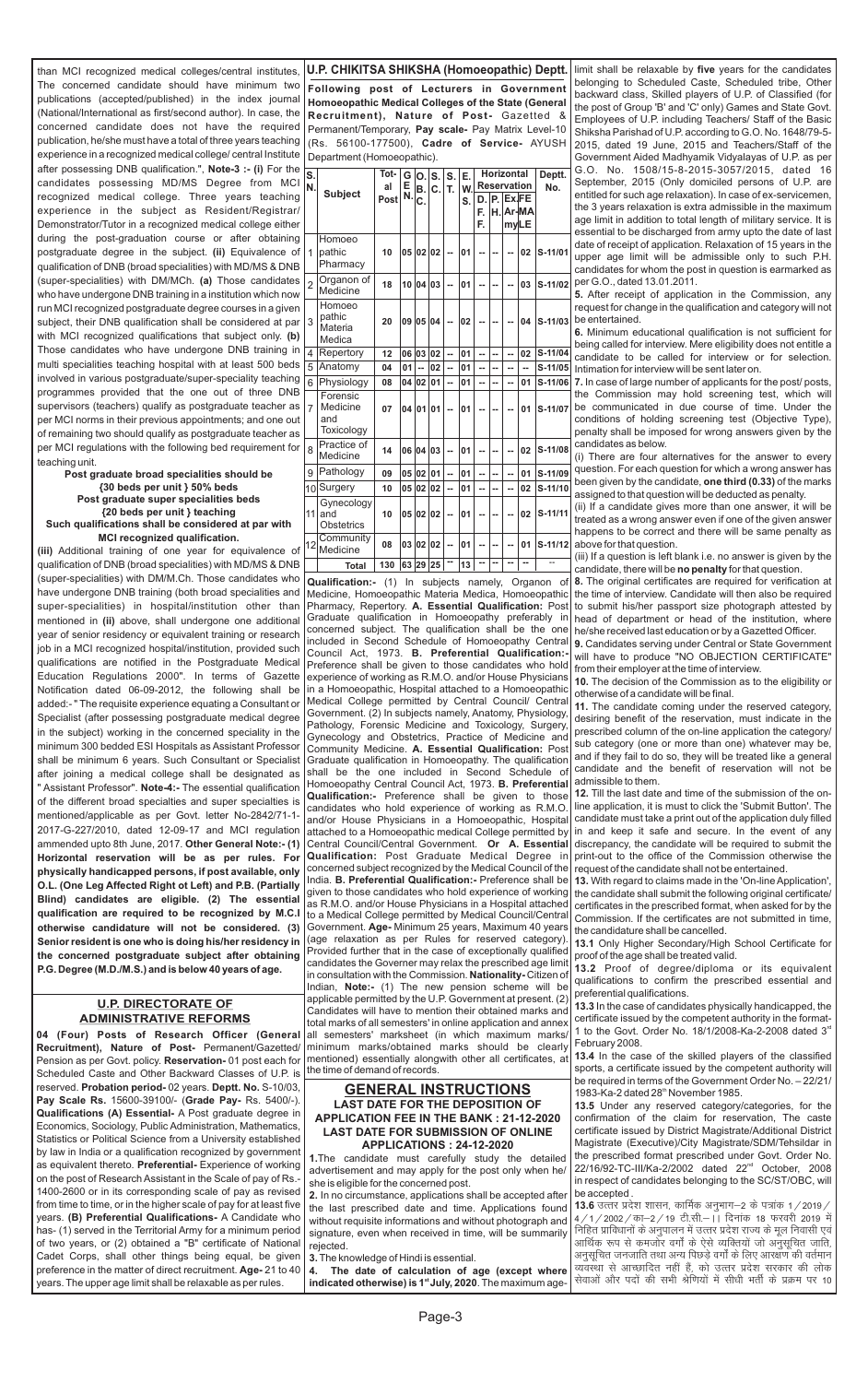#### **GENERAL INSTRUCTIONS LAST DATE FOR THE DEPOSITION OF APPLICATION FEE IN THE BANK : 21-12-2020 LAST DATE FOR SUBMISSION OF ONLINE APPLICATIONS : 24-12-2020**

**1.**The candidate must carefully study the detailed advertisement and may apply for the post only when he/ she is eligible for the concerned post.

**4. The date of calculation of age (except where**  indicated otherwise) is 1<sup>st</sup> July, 2020. The maximum age-

**2.** In no circumstance, applications shall be accepted after the last prescribed date and time. Applications found without requisite informations and without photograph and signature, even when received in time, will be summarily rejected.

**3.**The knowledge of Hindi is essential.

Page-3

**Following post of Lecturers in Government Homoeopathic Medical Colleges of the State (General Recruitment), Nature of Post-** Gazetted & Permanent/Temporary, **Pay scale-** Pay Matrix Level-10 (Rs. 56100-177500), **Cadre of Service-** AYUSH Department (Homoeopathic).

#### **U.P. CHIKITSA SHIKSHA (Homoeopathic) Deptt.**

| S.             |                                           | Tot-        | G       | O.I          | S. | S.     | Е. |    | <b>Horizontal</b>  |       |                | Deptt.    |
|----------------|-------------------------------------------|-------------|---------|--------------|----|--------|----|----|--------------------|-------|----------------|-----------|
| N.             | <b>Subject</b>                            | al          | E<br>N. | В.           | C. | T.     | w  |    | <b>Reservation</b> |       |                | No.       |
|                |                                           | <b>Post</b> |         | C.           |    |        | S. | D. | P.                 | Ex.FE |                |           |
|                |                                           |             |         |              |    |        |    | F. | H.I                |       | Ar-MA          |           |
|                |                                           |             |         |              |    |        |    | F. |                    | myLE  |                |           |
| 1              | Homoeo<br>pathic<br>Pharmacy              | 10          | 05      | 02           | 02 |        | 01 |    |                    |       | 02             | S-11/01   |
| $\overline{2}$ | Organon of<br>Medicine                    | 18          | 10      | 04           | 03 | $\sim$ | 01 |    |                    |       | 03             | S-11/02   |
| 3              | Homoeo<br>pathic<br>Materia<br>Medica     | 20          | 09      | 05           | 04 | --     | 02 |    |                    |       | 04             | S-11/03   |
| 4              | Repertory                                 | 12          | 06      | 03           | 02 | ш,     | 01 | ä. | ш.                 |       | 02             | S-11/04   |
| 5              | Anatomy                                   | 04          | 01      | ц.           | 02 | ш,     | 01 | Ш, | ۵.                 | ٠.    | $\overline{a}$ | S-11/05   |
| 6              | Physiology                                | 08          | 04      | 02           | 01 | u.     | 01 |    |                    |       | 01             | S-11/06   |
| $\overline{7}$ | Forensic<br>Medicine<br>and<br>Toxicology | 07          | 04      | 01           | 01 |        | 01 |    |                    |       | 01             | S-11/07   |
| 8              | Practice of<br>Medicine                   | 14          | 06      | 04           | 03 |        | 01 |    |                    |       | 02             | S-11/08   |
| 9              | Pathology                                 | 09          | 05      | 02           | 01 | ш,     | 01 | Ш, | --                 |       | 01             | S-11/09   |
| l10            | Surgery                                   | 10          | 05      | 02           | 02 | ä.     | 01 | ۵. | Ш.                 |       | 02             | S-11/10   |
| 11             | Gynecology<br>and<br><b>Obstetrics</b>    | 10          | 05      | 02           | 02 | ٠.     | 01 |    |                    |       | 02             | S-11/11   |
| 12             | Community<br>Medicine                     | 08          | 03      | $ 02\rangle$ | 02 | --     | 01 |    |                    |       | 01             | $S-11/12$ |
|                | <b>Total</b>                              | 130         |         | 63 29 25     |    | --     | 13 | -- | --                 | --    | --             |           |

**Qualification:-** (1) In subjects namely, Organon of Medicine, Homoeopathic Materia Medica, Homoeopathic Pharmacy, Repertory. **A. Essential Qualification:** Post Graduate qualification in Homoeopathy preferably in concerned subject. The qualification shall be the one included in Second Schedule of Homoeopathy Central Council Act, 1973. **B. Preferential Qualification:-** Preference shall be given to those candidates who hold experience of working as R.M.O. and/or House Physicians in a Homoeopathic, Hospital attached to a Homoeopathic Medical College permitted by Central Council/ Central Government. (2) In subjects namely, Anatomy, Physiology, Pathology, Forensic Medicine and Toxicology, Surgery, Gynecology and Obstetrics, Practice of Medicine and Community Medicine. **A. Essential Qualification:** Post Graduate qualification in Homoeopathy. The qualification shall be the one included in Second Schedule of Homoeopathy Central Council Act, 1973. **B. Preferential Qualification:-** Preference shall be given to those candidates who hold experience of working as R.M.O. and/or House Physicians in a Homoeopathic, Hospital attached to a Homoeopathic medical College permitted by Central Council/Central Government. **Or A. Essential Qualification:** Post Graduate Medical Degree in concerned subject recognized by the Medical Council of the India. **B. Preferential Qualification:-** Preference shall be given to those candidates who hold experience of working as R.M.O. and/or House Physicians in a Hospital attached to a Medical College permitted by Medical Council/Central Government. **Age-** Minimum 25 years, Maximum 40 years (age relaxation as per Rules for reserved category). Provided further that in the case of exceptionally qualified candidates the Governer may relax the prescribed age limit in consultation with the Commission. **Nationality-** Citizen of Indian, **Note:-** (1) The new pension scheme will be applicable permitted by the U.P. Government at present. (2) Candidates will have to mention their obtained marks and

total marks of all semesters' in online application and annex all semesters' marksheet (in which maximum marks/ minimum marks/obtained marks should be clearly mentioned) essentially alongwith other all certificates, at the time of demand of records.

**04 (Four) Posts of Research Officer (General Recruitment), Nature of Post-** Permanent/ Gazetted/ Pension as per Govt. policy. **Reservation-** 01 post each for Scheduled Caste and Other Backward Classes of U.P. is reserved. **Probation period-** 02 years. **Deptt. No.** S-10/03, **Pay Scale Rs.** 15600-39100/- (**Grade Pay-** Rs. 5400/-). **Qualifications (A) Essential-** A Post graduate degree in Economics, Sociology, Public Administration, Mathematics, Statistics or Political Science from a University established by law in India or a qualification recognized by government as equivalent thereto. **Preferential-** Experience of working on the post of Research Assistant in the Scale of pay of Rs.- 1400-2600 or in its corresponding scale of pay as revised from time to time, or in the higher scale of pay for at least five years. **(B) Preferential Qualifications-** A Candidate who has- (1) served in the Territorial Army for a minimum period of two years, or (2) obtained a "B" certificate of National Cadet Corps, shall other things being equal, be given preference in the matter of direct recruitment. **Age-** 21 to 40 years. The upper age limit shall be relaxable as per rules.

#### **U.P. DIRECTORATE OF ADMINISTRATIVE REFORMS**

than MCI recognized medical colleges/central institutes, The concerned candidate should have minimum two publications (accepted/published) in the index journal (National/International as first/second author). In case, the concerned candidate does not have the required publication, he/she must have a total of three years teaching experience in a recognized medical college/ central Institute after possessing DNB qualification.", **Note-3 :- (i)** For the candidates possessing MD/MS Degree from MCI recognized medical college. Three years teaching experience in the subject as Resident/Registrar/ Demonstrator/Tutor in a recognized medical college either during the post-graduation course or after obtaining postgraduate degree in the subject. **(ii)** Equivalence of qualification of DNB (broad specialities) with MD/MS & DNB (super-specialities) with DM/MCh. **(a)** Those candidates who have undergone DNB training in a institution which now run MCI recognized postgraduate degree courses in a given subject, their DNB qualification shall be considered at par with MCI recognized qualifications that subject only. **(b)** Those candidates who have undergone DNB training in multi specialities teaching hospital with at least 500 beds involved in various postgraduate/super-speciality teaching programmes provided that the one out of three DNB supervisors (teachers) qualify as postgraduate teacher as per MCI norms in their previous appointments; and one out of remaining two should qualify as postgraduate teacher as per MCI regulations with the following bed requirement for teaching unit.

> **13.4** In the case of the skilled players of the classified sports, a certificate issued by the competent authority will be required in terms of the Government Order No. – 22/21/ 1983-Ka-2 dated 28<sup>th</sup> November 1985.

#### **Post graduate broad specialities should be {30 beds per unit } 50% beds Post graduate super specialities beds {20 beds per unit } teaching Such qualifications shall be considered at par with**

**MCI recognized qualification.** 

**(iii)** Additional training of one year for equivalence of qualification of DNB (broad specialities) with MD/MS & DNB (super-specialities) with DM/M.Ch. Those candidates who have undergone DNB training (both broad specialities and super-specialities) in hospital/institution other than mentioned in **(ii)** above, shall undergone one additional year of senior residency or equivalent training or research job in a MCI recognized hospital/institution, provided such qualifications are notified in the Postgraduate Medical Education Regulations 2000". In terms of Gazette Notification dated 06-09-2012, the following shall be added:- " The requisite experience equating a Consultant or Specialist (after possessing postgraduate medical degree in the subject) working in the concerned speciality in the minimum 300 bedded ESI Hospitals as Assistant Professor shall be minimum 6 years. Such Consultant or Specialist after joining a medical college shall be designated as " Assistant Professor". **Note-4:-** The essential qualification of the different broad specialties and super specialties is mentioned/applicable as per Govt. letter No-2842/71-1- 2017-G-227/2010, dated 12-09-17 and MCI regulation ammended upto 8th June, 2017. **Other General Note:- (1) Horizontal reservation will be as per rules. For physically handicapped persons, if post available, only O.L. (One Leg Affected Right ot Left) and P.B. (Partially Blind) candidates are eligible. (2) The essential qualification are required to be recognized by M.C.I otherwise candidature will not be considered. (3) Senior resident is one who is doing his/her residency in the concerned postgraduate subject after obtaining P.G. Degree (M.D./M.S.) and is below 40 years of age.** 

limit shall be relaxable by **five** years for the candidates belonging to Scheduled Caste, Scheduled tribe, Other backward class, Skilled players of U.P. of Classified (for the post of Group 'B' and 'C' only) Games and State Govt. Employees of U.P. including Teachers/ Staff of the Basic Shiksha Parishad of U.P. according to G.O. No. 1648/79-5- 2015, dated 19 June, 2015 and Teachers/Staff of the Government Aided Madhyamik Vidyalayas of U.P. as per G.O. No. 1508/15-8-2015-3057/2015, dated 16 September, 2015 (Only domiciled persons of U.P. are entitled for such age relaxation). In case of ex-servicemen, the 3 years relaxation is extra admissible in the maximum age limit in addition to total length of military service. It is essential to be discharged from army upto the date of last date of receipt of application. Relaxation of 15 years in the upper age limit will be admissible only to such P.H. candidates for whom the post in question is earmarked as per G.O., dated 13.01.2011.

**5.** After receipt of application in the Commission, any request for change in the qualification and category will not be entertained.

**6.** Minimum educational qualification is not sufficient for being called for interview. Mere eligibility does not entitle a candidate to be called for interview or for selection. Intimation for interview will be sent later on.

**7.** In case of large number of applicants for the post/ posts, the Commission may hold screening test, which will be communicated in due course of time. Under the conditions of holding screening test (Objective Type), penalty shall be imposed for wrong answers given by the candidates as below.

(i) There are four alternatives for the answer to every question. For each question for which a wrong answer has been given by the candidate, **one third (0.33)** of the marks assigned to that question will be deducted as penalty.

(ii) If a candidate gives more than one answer, it will be treated as a wrong answer even if one of the given answer happens to be correct and there will be same penalty as above for that question.

(iii) If a question is left blank i.e. no answer is given by the candidate, there will be **no penalty** for that question.

**8.** The original certificates are required for verification at the time of interview. Candidate will then also be required to submit his/her passport size photograph attested by head of department or head of the institution, where he/she received last education or by a Gazetted Officer.

**9.** Candidates serving under Central or State Government will have to produce "NO OBJECTION CERTIFICATE" from their employer at the time of interview.

**10.** The decision of the Commission as to the eligibility or otherwise of a candidate will be final.

**11.** The candidate coming under the reserved category, desiring benefit of the reservation, must indicate in the prescribed column of the on-line application the category/ sub category (one or more than one) whatever may be, and if they fail to do so, they will be treated like a general candidate and the benefit of reservation will not be admissible to them.

**12.** Till the last date and time of the submission of the online application, it is must to click the 'Submit Button'. The candidate must take a print out of the application duly filled in and keep it safe and secure. In the event of any discrepancy, the candidate will be required to submit the print-out to the office of the Commission otherwise the request of the candidate shall not be entertained.

**13.** With regard to claims made in the 'On-line Application', the candidate shall submit the following original certificate/ certificates in the prescribed format, when asked for by the Commission. If the certificates are not submitted in time, the candidature shall be cancelled.

**13.1** Only Higher Secondary/High School Certificate for proof of the age shall be treated valid.

**13.2** Proof of degree/diploma or its equivalent qualifications to confirm the prescribed essential and preferential qualifications.

**13.3** In the case of candidates physically handicapped, the certificate issued by the competent authority in the format-1 to the Govt. Order No. 18/1/2008-Ka-2-2008 dated  $3<sup>rd</sup>$ February 2008.

**13.5** Under any reserved category/categories, for the confirmation of the claim for reservation, The caste certificate issued by District Magistrate/Additional District Magistrate (Executive)/City Magistrate/SDM/Tehsildar in the prescribed format prescribed under Govt. Order No. 22/16/92-TC-III/Ka-2/2002 dated 22<sup>nd</sup> October, 2008 in respect of candidates belonging to the SC/ST/OBC, will be accepted .

**13.6** उत्तर प्रदेश शासन, कार्मिक अनुभाग–2 के पत्रांक 1 / 2019 / | 4/1/2002/का-2/19 टी.सी. | दिनांक 18 फरवरी 2019 में निहित प्राविधानों के अनुपालन में उत्तर प्रदेश राज्य के मूल निवासी एवं आर्थिक रूप से कमजोर वर्गों के ऐसे व्यक्तियों जो अनुसूचित जाति, अनुसूचित जनजाति तथा अन्य पिछड़े वर्गों के लिए आरक्षण की वर्तमान व्यवस्था से आच्छादित नहीं हैं, को उत्तर प्रदेश सरकार की लोक सेवाओं और पदों की सभी श्रेणियों में सीधी भर्ती के प्रक्रम पर 10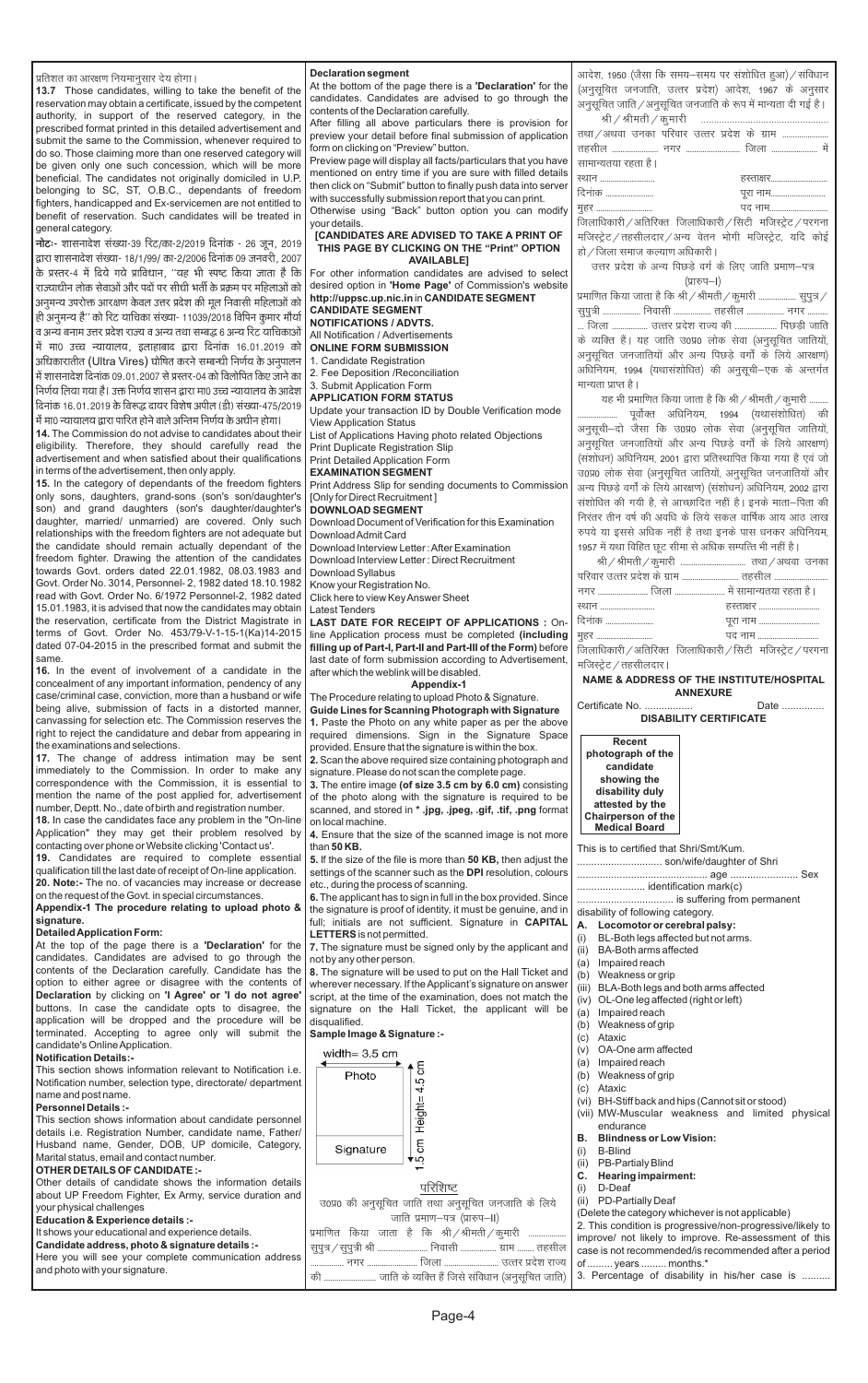**Declaration segment** प्रतिशत का आरक्षण नियमानुसार देय होगा। At the bottom of the page there is a **'Declaration'** for the 13.7 Those candidates, willing to take the benefit of the candidates. Candidates are advised to go through the reservation may obtain a certificate, issued by the competent contents of the Declaration carefully. authority, in support of the reserved category, in the After filling all above particulars there is provision fo prescribed format printed in this detailed advertisement and preview your detail before final submission of applicatior submit the same to the Commission, whenever required to form on clicking on "Preview" button. do so. Those claiming more than one reserved category will Preview page will display all facts/particulars that you have be given only one such concession, which will be more mentioned on entry time if you are sure with filled details beneficial. The candidates not originally domiciled in U.P. then click on "Submit" button to finally push data into server belonging to SC, ST, O.B.C., dependants of freedom with successfully submission report that you can print. fighters, handicapped and Ex-servicemen are not entitled to Otherwise using "Back" button option you can modify benefit of reservation. Such candidates will be treated in vour details. general category. **ICANDIDATES ARE ADVISED TO TAKE A PRINT OF** नोटः- शासनादेश संख्या-39 रिट/का-2/2019 दिनांक - 26 जून, 2019 THIS PAGE BY CLICKING ON THE "Print" OPTION द्वारा शासनादेश संख्या- 18/1/99/ का-2/2006 दिनांक 09 जनवरी. 2007 **AVAILABLE]** के प्रस्तर-4 में दिये गये प्राविधान, ''यह भी स्पष्ट किया जाता है कि For other information candidates are advised to seled desired option in 'Home Page' of Commission's website राज्याधीन लोक सेवाओं और पदों पर सीधी भर्ती के प्रक्रम पर महिलाओं को http://uppsc.up.nic.in in CANDIDATE SEGMENT ,<br>अनुमन्य उपरोक्त आरक्षण केवल उत्तर प्रदेश की मूल निवासी महिलाओं को **CANDIDATE SEGMENT** ही अनुमन्य है'' को रिट याचिका संख्या- 11039/2018 विपिन कुमार मौर्या **NOTIFICATIONS / ADVTS.** व अन्य बनाम उत्तर प्रदेश राज्य व अन्य तथा सम्बद्ध ६ अन्य रिट याचिकाओं All Notification / Advertisements में मा0 उच्च न्यायालय, इलाहाबाद द्वारा दिनांक 16.01.2019 को **ONLINE FORM SUBMISSION** अधिकारातीत (Ultra Vires) घोषित करने सम्बन्धी निर्णय के अनुपालन 1. Candidate Registration 2. Fee Deposition / Reconciliation में शासनादेश दिनांक 09.01.2007 से प्रस्तर-04 को विलोपित किए जाने का 3. Submit Application Form निर्णय लिया गया है। उक्त निर्णय शासन द्वारा मा0 उच्च न्यायालय के आदेश **APPLICATION FORM STATUS** दिनांक 16.01.2019 के विरूद्ध दायर विशेष अपील (डी) संख्या-475/2019 Update your transaction ID by Double Verification mode में मा0 न्यायालय द्वारा पारित होने वाले अन्तिम निर्णय के अधीन होगा। **View Application Status** 14. The Commission do not advise to candidates about their List of Applications Having photo related Objections eligibility. Therefore, they should carefully read the **Print Duplicate Registration Slip** advertisement and when satisfied about their qualifications **Print Detailed Application Form** in terms of the advertisement, then only apply. **EXAMINATION SEGMENT** 15. In the category of dependants of the freedom fighters Print Address Slip for sending documents to Commissio only sons, daughters, grand-sons (son's son/daughter's [Only for Direct Recruitment] son) and grand daughters (son's daughter/daughter's **DOWNLOAD SEGMENT** daughter, married/ unmarried) are covered. Only such Download Document of Verification for this Examination relationships with the freedom fighters are not adequate but Download Admit Card the candidate should remain actually dependant of the Download Interview Letter: After Examination freedom fighter. Drawing the attention of the candidates Download Interview Letter: Direct Recruitment towards Govt. orders dated 22.01.1982, 08.03.1983 and Download Syllabus Govt. Order No. 3014, Personnel- 2, 1982 dated 18.10.1982 Know your Registration No. read with Govt. Order No. 6/1972 Personnel-2, 1982 dated Click here to view Key Answer Sheet 15.01.1983, it is advised that now the candidates may obtain **Latest Tenders** the reservation, certificate from the District Magistrate in LAST DATE FOR RECEIPT OF APPLICATIONS : On terms of Govt. Order No. 453/79-V-1-15-1(Ka)14-2015 line Application process must be completed (including dated 07-04-2015 in the prescribed format and submit the filling up of Part-I, Part-II and Part-III of the Form) before last date of form submission according to Advertisement 16. In the event of involvement of a candidate in the after which the weblink will be disabled. concealment of any important information, pendency of any Appendix-1 case/criminal case, conviction, more than a husband or wife The Procedure relating to upload Photo & Signature. being alive, submission of facts in a distorted manner, Guide Lines for Scanning Photograph with Signature canvassing for selection etc. The Commission reserves the 1. Paste the Photo on any white paper as per the above right to reject the candidature and debar from appearing in required dimensions. Sign in the Signature Space the examinations and selections. provided. Ensure that the signature is within the box. 17. The change of address intimation may be sent 2. Scan the above required size containing photograph and immediately to the Commission. In order to make any signature. Please do not scan the complete page. correspondence with the Commission, it is essential to 3. The entire image (of size 3.5 cm by 6.0 cm) consistin mention the name of the post applied for, advertisement of the photo along with the signature is required to be number, Deptt. No., date of birth and registration number. scanned, and stored in \* .jpg, .jpeg, .gif, .tif, .png forma 18. In case the candidates face any problem in the "On-line on local machine. Application" they may get their problem resolved by 4. Ensure that the size of the scanned image is not more contacting over phone or Website clicking 'Contact us'. than 50 KB. 19. Candidates are required to complete essential 5. If the size of the file is more than 50 KB, then adjust th qualification till the last date of receipt of On-line application. settings of the scanner such as the DPI resolution, colour 20. Note:- The no. of vacancies may increase or decrease etc., during the process of scanning. on the request of the Govt. in special circumstances. 6. The applicant has to sign in full in the box provided. Since Appendix-1 The procedure relating to upload photo & the signature is proof of identity, it must be genuine, and i full; initials are not sufficient. Signature in CAPITA **Detailed Application Form:** LETTERS is not permitted. At the top of the page there is a 'Declaration' for the 7. The signature must be signed only by the applicant an candidates. Candidates are advised to go through the not by any other person. contents of the Declaration carefully. Candidate has the 8. The signature will be used to put on the Hall Ticket an option to either agree or disagree with the contents of wherever necessary. If the Applicant's signature on answe Declaration by clicking on 'I Agree' or 'I do not agree' script, at the time of the examination, does not match th buttons. In case the candidate opts to disagree, the signature on the Hall Ticket, the applicant will be  $\alpha$  impaired reach

same

signature.

|                                                                     | आदेश, 1950 (जैसा कि समय–समय पर संशोधित हुआ) / संविधान                    |  |  |  |  |  |
|---------------------------------------------------------------------|--------------------------------------------------------------------------|--|--|--|--|--|
| ۱e                                                                  |                                                                          |  |  |  |  |  |
| ιe                                                                  | (अनुसूचित जनजाति, उत्तर प्रदेश) आदेश, 1967 के अनुसार                     |  |  |  |  |  |
|                                                                     | अनुसूचित जाति / अनुसूचित जनजाति के रूप में मान्यता दी गई है।             |  |  |  |  |  |
| or                                                                  | श्री / श्रीमती / कुमारी<br>.                                             |  |  |  |  |  |
| ρIJ                                                                 | तथा / अथवा उनका परिवार उत्तर प्रदेश के ग्राम                             |  |  |  |  |  |
|                                                                     |                                                                          |  |  |  |  |  |
| /e                                                                  | सामान्यतया रहता है।                                                      |  |  |  |  |  |
| ls                                                                  | ख्यान<br>हस्ताक्षर                                                       |  |  |  |  |  |
| er                                                                  | दिनांक<br>पूरा नाम                                                       |  |  |  |  |  |
|                                                                     | पद नाम<br>मुहर                                                           |  |  |  |  |  |
| fy                                                                  | जिलाधिकारी / अतिरिक्त जिलाधिकारी / सिटी मजिस्ट्रेट / परगना               |  |  |  |  |  |
| F                                                                   |                                                                          |  |  |  |  |  |
|                                                                     | मजिस्ट्रेट / तहसीलदार / अन्य वेतन भोगी मजिस्ट्रेट, यदि कोई               |  |  |  |  |  |
|                                                                     | हो / जिला समाज कल्याण अधिकारी ।                                          |  |  |  |  |  |
| ct                                                                  | उत्तर प्रदेश के अन्य पिछड़े वर्ग के लिए जाति प्रमाण-पत्र                 |  |  |  |  |  |
| te                                                                  | (प्रारुप–I)                                                              |  |  |  |  |  |
|                                                                     | प्रमाणित किया जाता है कि श्री / श्रीमती / कुमारी  सुपुत्र /              |  |  |  |  |  |
|                                                                     | सुपुत्री  निवासी  तहसील  नगर                                             |  |  |  |  |  |
|                                                                     | जिला  उत्तर प्रदेश राज्य की  पिछड़ी जाति                                 |  |  |  |  |  |
|                                                                     | के व्यक्ति हैं। यह जाति उ0प्र0 लोक सेवा (अनुसूचित जातियों,               |  |  |  |  |  |
|                                                                     | अनुसूचित जनजातियों और अन्य पिछड़े वर्गों के लिये आरक्षण)                 |  |  |  |  |  |
|                                                                     | अधिनियम, 1994 (यथासंशोधित) की अनुसूची–एक के अन्तर्गत                     |  |  |  |  |  |
|                                                                     | मान्यता प्राप्त है।                                                      |  |  |  |  |  |
|                                                                     |                                                                          |  |  |  |  |  |
|                                                                     | यह भी प्रमाणित किया जाता है कि श्री / श्रीमती / कुमारी                   |  |  |  |  |  |
|                                                                     | पूर्वोक्त अधिनियम, 1994 (यथासंशोधित) की<br>.                             |  |  |  |  |  |
|                                                                     | अनुसूची—दो जैसा कि उ0प्र0 लोक सेवा (अनुसूचित जातियों,                    |  |  |  |  |  |
|                                                                     | अनुसूचित जनजातियों और अन्य पिछड़े वर्गों के लिये आरक्षण)                 |  |  |  |  |  |
|                                                                     | (संशोधन) अधिनियम, 2001 द्वारा प्रतिस्थापित किया गया है एवं जो            |  |  |  |  |  |
|                                                                     | उ0प्र0 लोक सेवा (अनुसूचित जातियों, अनुसूचित जनजातियों और                 |  |  |  |  |  |
| ρn                                                                  | अन्य पिछड़े वर्गों के लिये आरक्षण) (संशोधन) अधिनियम, 2002 द्वारा         |  |  |  |  |  |
|                                                                     | संशोधित की गयी है, से आच्छादित नहीं है। इनके माता–पिता की                |  |  |  |  |  |
|                                                                     | निरंतर तीन वर्ष की अवधि के लिये सकल वार्षिक आय आठ लाख                    |  |  |  |  |  |
|                                                                     | रुपये या इससे अधिक नहीं है तथा इनके पास धनकर अधिनियम,                    |  |  |  |  |  |
|                                                                     |                                                                          |  |  |  |  |  |
|                                                                     |                                                                          |  |  |  |  |  |
|                                                                     | 1957 में यथा विहित छूट सीमा से अधिक सम्पत्ति भी नहीं है।                 |  |  |  |  |  |
|                                                                     |                                                                          |  |  |  |  |  |
|                                                                     | परिवार उत्तर प्रदेश के ग्राम  तहसील                                      |  |  |  |  |  |
|                                                                     | नगर  जिला  में सामान्यतया रहता है।                                       |  |  |  |  |  |
|                                                                     | हस्ताक्षर<br>स्थान                                                       |  |  |  |  |  |
|                                                                     | दिनांक<br>पूरा नाम                                                       |  |  |  |  |  |
|                                                                     | पद नाम<br>मुहर                                                           |  |  |  |  |  |
|                                                                     | जिलाधिकारी / अतिरिक्त जिलाधिकारी / सिटी मजिस्ट्रेट / परगना               |  |  |  |  |  |
|                                                                     | मजिस्ट्रेट / तहसीलदार ।                                                  |  |  |  |  |  |
|                                                                     | NAME & ADDRESS OF THE INSTITUTE/HOSPITAL                                 |  |  |  |  |  |
|                                                                     | <b>ANNEXURE</b>                                                          |  |  |  |  |  |
|                                                                     | Certificate No.<br>Date                                                  |  |  |  |  |  |
|                                                                     | <b>DISABILITY CERTIFICATE</b>                                            |  |  |  |  |  |
|                                                                     |                                                                          |  |  |  |  |  |
|                                                                     | <b>Recent</b>                                                            |  |  |  |  |  |
|                                                                     | photograph of the<br>candidate                                           |  |  |  |  |  |
|                                                                     | showing the                                                              |  |  |  |  |  |
|                                                                     | disability duly                                                          |  |  |  |  |  |
|                                                                     | attested by the                                                          |  |  |  |  |  |
|                                                                     | Chairperson of the                                                       |  |  |  |  |  |
|                                                                     | <b>Medical Board</b>                                                     |  |  |  |  |  |
|                                                                     | This is to certified that Shri/Smt/Kum.                                  |  |  |  |  |  |
| n-<br>ıg<br>re<br>ıt.<br>/e<br>æ<br>١d<br>١g<br>œ<br>at<br>re<br>۱e | son/wife/daughter of Shri                                                |  |  |  |  |  |
| rs                                                                  |                                                                          |  |  |  |  |  |
|                                                                     | identification mark(c)                                                   |  |  |  |  |  |
|                                                                     | is suffering from permanent                                              |  |  |  |  |  |
|                                                                     | disability of following category.                                        |  |  |  |  |  |
|                                                                     | А.<br>Locomotor or cerebral palsy:                                       |  |  |  |  |  |
|                                                                     | BL-Both legs affected but not arms.<br>(i)                               |  |  |  |  |  |
| æ<br>in<br>١L<br>١d                                                 | (ii)<br><b>BA-Both arms affected</b>                                     |  |  |  |  |  |
| ۱d                                                                  | (a)<br>Impaired reach                                                    |  |  |  |  |  |
| er                                                                  | Weakness or grip<br>(b)<br>(iii)<br>BLA-Both legs and both arms affected |  |  |  |  |  |

| application will be dropped and the procedure will be disqualified. |                                                           | (b)<br>Weakness of grip                                    |
|---------------------------------------------------------------------|-----------------------------------------------------------|------------------------------------------------------------|
| terminated. Accepting to agree only will submit the                 | Sample Image & Signature :-                               | Ataxic<br>(C)                                              |
| candidate's Online Application.                                     | width= $3.5 \text{ cm}$                                   | OA-One arm affected<br>(v)                                 |
| <b>Notification Details:-</b>                                       |                                                           | Impaired reach<br>(a)                                      |
| This section shows information relevant to Notification i.e.        | $\circ$<br>Photo                                          | Weakness of grip<br>(b)                                    |
| Notification number, selection type, directorate/ department        | LO                                                        | Ataxic<br>(c)                                              |
| name and post name.                                                 | ᆉ                                                         |                                                            |
| <b>Personnel Details:-</b>                                          |                                                           | (vi) BH-Stiff back and hips (Cannot sit or stood)          |
| This section shows information about candidate personnel            | Height=                                                   | (vii) MW-Muscular weakness and limited physical            |
| details i.e. Registration Number, candidate name, Father/           |                                                           | endurance                                                  |
| Husband name, Gender, DOB, UP domicile, Category,                   | 5<br>Signature                                            | <b>Blindness or Low Vision:</b><br>В.                      |
| Marital status, email and contact number.                           | ▼ທ                                                        | B-Blind                                                    |
| <b>OTHER DETAILS OF CANDIDATE:-</b>                                 |                                                           | <b>PB-Partialy Blind</b>                                   |
| Other details of candidate shows the information details            |                                                           | Hearing impairment:                                        |
| about UP Freedom Fighter, Ex Army, service duration and             | परिशिष्ट                                                  | D-Deaf<br>$\left(1\right)$                                 |
| your physical challenges                                            | उ0प्र0 की अनुसूचित जाति तथा अनुसूचित जनजाति के लिये       | (ii) PD-Partially Deaf                                     |
| Education & Experience details :-                                   | जाति प्रमाण–पत्र (प्रारुप–II)                             | (Delete the category whichever is not applicable)          |
| It shows your educational and experience details.                   | प्रमाणित किया जाता है कि श्री/श्रीमती/कुमारी              | 2. This condition is progressive/non-progressive/likely to |
| Candidate address, photo & signature details :-                     |                                                           | improve/ not likely to improve. Re-assessment of this      |
| Here you will see your complete communication address               | सुपुत्र / सुपुत्री श्री  निवासी  ग्राम  तहसील             | case is not recommended/is recommended after a period      |
| and photo with your signature.                                      | नगर  जिला  उत्तर प्रदेश राज्य                             | of  years  months.*                                        |
|                                                                     | '  जाति के व्यक्ति हैं जिसे संविधान (अनुसूचित जाति)<br>की | 3. Percentage of disability in his/her case is             |

Page-4